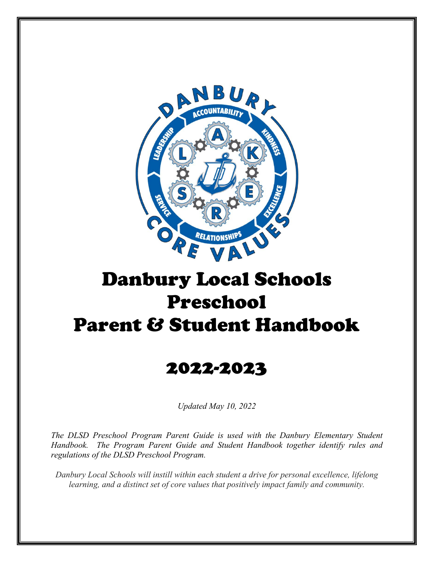

# Danbury Local Schools Preschool Parent & Student Handbook

# 2022-2023

*Updated May 10, 2022* 

*The DLSD Preschool Program Parent Guide is used with the Danbury Elementary Student Handbook. The Program Parent Guide and Student Handbook together identify rules and regulations of the DLSD Preschool Program.* 

*Danbury Local Schools will instill within each student a drive for personal excellence, lifelong learning, and a distinct set of core values that positively impact family and community.*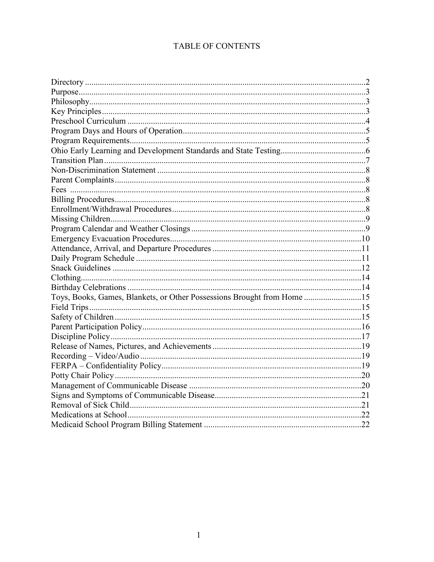# TABLE OF CONTENTS

| Toys, Books, Games, Blankets, or Other Possessions Brought from Home 15 |  |
|-------------------------------------------------------------------------|--|
|                                                                         |  |
|                                                                         |  |
|                                                                         |  |
|                                                                         |  |
|                                                                         |  |
|                                                                         |  |
|                                                                         |  |
|                                                                         |  |
|                                                                         |  |
|                                                                         |  |
|                                                                         |  |
|                                                                         |  |
|                                                                         |  |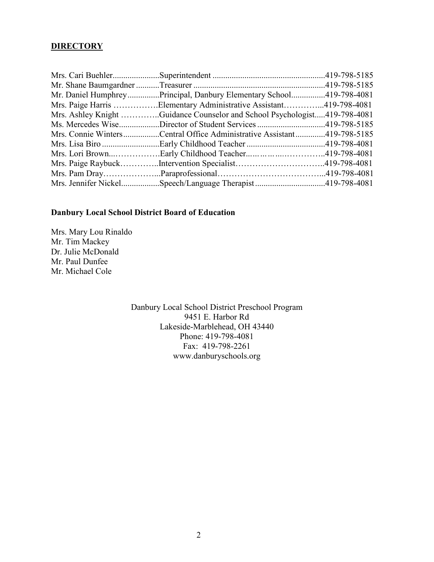#### **DIRECTORY**

| Mr. Daniel HumphreyPrincipal, Danbury Elementary School419-798-4081       |  |
|---------------------------------------------------------------------------|--|
| Mrs. Paige Harris Elementary Administrative Assistant419-798-4081         |  |
| Mrs. Ashley Knight Guidance Counselor and School Psychologist419-798-4081 |  |
| Ms. Mercedes WiseDirector of Student Services419-798-5185                 |  |
| Mrs. Connie WintersCentral Office Administrative Assistant419-798-5185    |  |
|                                                                           |  |
| Mrs. Lori BrownEarly Childhood Teacher419-798-4081                        |  |
|                                                                           |  |
|                                                                           |  |
| Mrs. Jennifer NickelSpeech/Language Therapist419-798-4081                 |  |

# **Danbury Local School District Board of Education**

Mrs. Mary Lou Rinaldo Mr. Tim Mackey Dr. Julie McDonald Mr. Paul Dunfee Mr. Michael Cole

> Danbury Local School District Preschool Program 9451 E. Harbor Rd Lakeside-Marblehead, OH 43440 Phone: 419-798-4081 Fax: 419-798-2261 www.danburyschools.org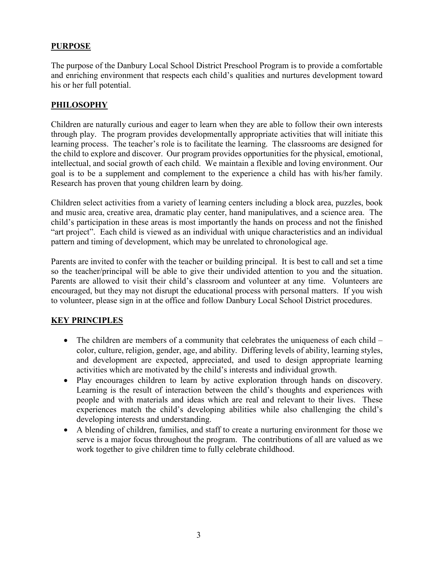#### **PURPOSE**

The purpose of the Danbury Local School District Preschool Program is to provide a comfortable and enriching environment that respects each child's qualities and nurtures development toward his or her full potential.

#### **PHILOSOPHY**

Children are naturally curious and eager to learn when they are able to follow their own interests through play. The program provides developmentally appropriate activities that will initiate this learning process. The teacher's role is to facilitate the learning. The classrooms are designed for the child to explore and discover. Our program provides opportunities for the physical, emotional, intellectual, and social growth of each child. We maintain a flexible and loving environment. Our goal is to be a supplement and complement to the experience a child has with his/her family. Research has proven that young children learn by doing.

Children select activities from a variety of learning centers including a block area, puzzles, book and music area, creative area, dramatic play center, hand manipulatives, and a science area. The child's participation in these areas is most importantly the hands on process and not the finished "art project". Each child is viewed as an individual with unique characteristics and an individual pattern and timing of development, which may be unrelated to chronological age.

Parents are invited to confer with the teacher or building principal. It is best to call and set a time so the teacher/principal will be able to give their undivided attention to you and the situation. Parents are allowed to visit their child's classroom and volunteer at any time. Volunteers are encouraged, but they may not disrupt the educational process with personal matters. If you wish to volunteer, please sign in at the office and follow Danbury Local School District procedures.

# **KEY PRINCIPLES**

- The children are members of a community that celebrates the uniqueness of each child color, culture, religion, gender, age, and ability. Differing levels of ability, learning styles, and development are expected, appreciated, and used to design appropriate learning activities which are motivated by the child's interests and individual growth.
- Play encourages children to learn by active exploration through hands on discovery. Learning is the result of interaction between the child's thoughts and experiences with people and with materials and ideas which are real and relevant to their lives. These experiences match the child's developing abilities while also challenging the child's developing interests and understanding.
- A blending of children, families, and staff to create a nurturing environment for those we serve is a major focus throughout the program. The contributions of all are valued as we work together to give children time to fully celebrate childhood.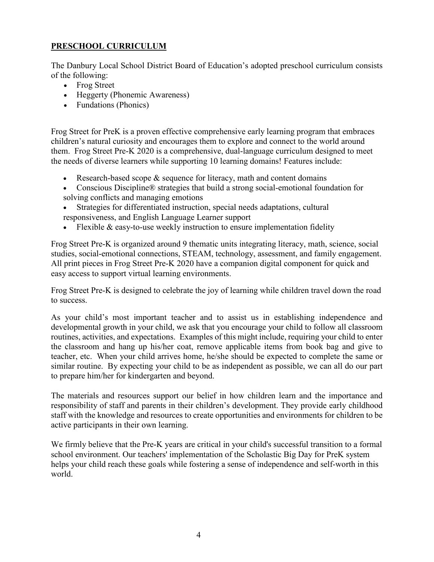# **PRESCHOOL CURRICULUM**

The Danbury Local School District Board of Education's adopted preschool curriculum consists of the following:

- Frog Street
- Heggerty (Phonemic Awareness)
- Fundations (Phonics)

Frog Street for PreK is a proven effective comprehensive early learning program that embraces children's natural curiosity and encourages them to explore and connect to the world around them. Frog Street Pre-K 2020 is a comprehensive, dual-language curriculum designed to meet the needs of diverse learners while supporting 10 learning domains! Features include:

- Research-based scope & sequence for literacy, math and content domains
- Conscious Discipline® strategies that build a strong social-emotional foundation for solving conflicts and managing emotions
- Strategies for differentiated instruction, special needs adaptations, cultural responsiveness, and English Language Learner support
- Flexible & easy-to-use weekly instruction to ensure implementation fidelity

Frog Street Pre-K is organized around 9 thematic units integrating literacy, math, science, social studies, social-emotional connections, STEAM, technology, assessment, and family engagement. All print pieces in Frog Street Pre-K 2020 have a companion digital component for quick and easy access to support virtual learning environments.

Frog Street Pre-K is designed to celebrate the joy of learning while children travel down the road to success.

As your child's most important teacher and to assist us in establishing independence and developmental growth in your child, we ask that you encourage your child to follow all classroom routines, activities, and expectations. Examples of this might include, requiring your child to enter the classroom and hang up his/her coat, remove applicable items from book bag and give to teacher, etc. When your child arrives home, he/she should be expected to complete the same or similar routine. By expecting your child to be as independent as possible, we can all do our part to prepare him/her for kindergarten and beyond.

The materials and resources support our belief in how children learn and the importance and responsibility of staff and parents in their children's development. They provide early childhood staff with the knowledge and resources to create opportunities and environments for children to be active participants in their own learning.

We firmly believe that the Pre-K years are critical in your child's successful transition to a formal school environment. Our teachers' implementation of the Scholastic Big Day for PreK system helps your child reach these goals while fostering a sense of independence and self-worth in this world.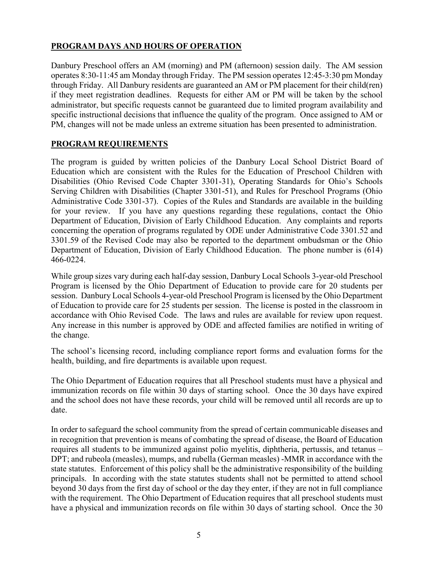# **PROGRAM DAYS AND HOURS OF OPERATION**

Danbury Preschool offers an AM (morning) and PM (afternoon) session daily. The AM session operates 8:30-11:45 am Monday through Friday. The PM session operates 12:45-3:30 pm Monday through Friday. All Danbury residents are guaranteed an AM or PM placement for their child(ren) if they meet registration deadlines. Requests for either AM or PM will be taken by the school administrator, but specific requests cannot be guaranteed due to limited program availability and specific instructional decisions that influence the quality of the program. Once assigned to AM or PM, changes will not be made unless an extreme situation has been presented to administration.

# **PROGRAM REQUIREMENTS**

The program is guided by written policies of the Danbury Local School District Board of Education which are consistent with the Rules for the Education of Preschool Children with Disabilities (Ohio Revised Code Chapter 3301-31), Operating Standards for Ohio's Schools Serving Children with Disabilities (Chapter 3301-51), and Rules for Preschool Programs (Ohio Administrative Code 3301-37). Copies of the Rules and Standards are available in the building for your review. If you have any questions regarding these regulations, contact the Ohio Department of Education, Division of Early Childhood Education. Any complaints and reports concerning the operation of programs regulated by ODE under Administrative Code 3301.52 and 3301.59 of the Revised Code may also be reported to the department ombudsman or the Ohio Department of Education, Division of Early Childhood Education. The phone number is (614) 466-0224.

While group sizes vary during each half-day session, Danbury Local Schools 3-year-old Preschool Program is licensed by the Ohio Department of Education to provide care for 20 students per session. Danbury Local Schools 4-year-old Preschool Program is licensed by the Ohio Department of Education to provide care for 25 students per session. The license is posted in the classroom in accordance with Ohio Revised Code. The laws and rules are available for review upon request. Any increase in this number is approved by ODE and affected families are notified in writing of the change.

The school's licensing record, including compliance report forms and evaluation forms for the health, building, and fire departments is available upon request.

The Ohio Department of Education requires that all Preschool students must have a physical and immunization records on file within 30 days of starting school. Once the 30 days have expired and the school does not have these records, your child will be removed until all records are up to date.

In order to safeguard the school community from the spread of certain communicable diseases and in recognition that prevention is means of combating the spread of disease, the Board of Education requires all students to be immunized against polio myelitis, diphtheria, pertussis, and tetanus – DPT; and rubeola (measles), mumps, and rubella (German measles) -MMR in accordance with the state statutes. Enforcement of this policy shall be the administrative responsibility of the building principals. In according with the state statutes students shall not be permitted to attend school beyond 30 days from the first day of school or the day they enter, if they are not in full compliance with the requirement. The Ohio Department of Education requires that all preschool students must have a physical and immunization records on file within 30 days of starting school. Once the 30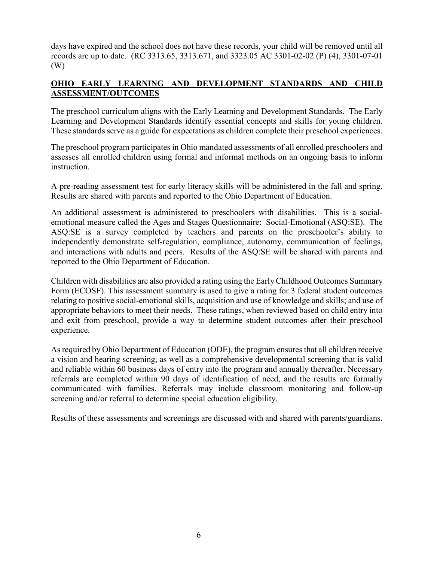days have expired and the school does not have these records, your child will be removed until all records are up to date. (RC 3313.65, 3313.671, and 3323.05 AC 3301-02-02 (P) (4), 3301-07-01 (W)

# **OHIO EARLY LEARNING AND DEVELOPMENT STANDARDS AND CHILD ASSESSMENT/OUTCOMES**

The preschool curriculum aligns with the Early Learning and Development Standards. The Early Learning and Development Standards identify essential concepts and skills for young children. These standards serve as a guide for expectations as children complete their preschool experiences.

The preschool program participates in Ohio mandated assessments of all enrolled preschoolers and assesses all enrolled children using formal and informal methods on an ongoing basis to inform instruction.

A pre-reading assessment test for early literacy skills will be administered in the fall and spring. Results are shared with parents and reported to the Ohio Department of Education.

An additional assessment is administered to preschoolers with disabilities. This is a socialemotional measure called the Ages and Stages Questionnaire: Social-Emotional (ASQ:SE). The ASQ:SE is a survey completed by teachers and parents on the preschooler's ability to independently demonstrate self-regulation, compliance, autonomy, communication of feelings, and interactions with adults and peers. Results of the ASQ:SE will be shared with parents and reported to the Ohio Department of Education.

Children with disabilities are also provided a rating using the Early Childhood Outcomes Summary Form (ECOSF). This assessment summary is used to give a rating for 3 federal student outcomes relating to positive social-emotional skills, acquisition and use of knowledge and skills; and use of appropriate behaviors to meet their needs. These ratings, when reviewed based on child entry into and exit from preschool, provide a way to determine student outcomes after their preschool experience.

As required by Ohio Department of Education (ODE), the program ensures that all children receive a vision and hearing screening, as well as a comprehensive developmental screening that is valid and reliable within 60 business days of entry into the program and annually thereafter. Necessary referrals are completed within 90 days of identification of need, and the results are formally communicated with families. Referrals may include classroom monitoring and follow-up screening and/or referral to determine special education eligibility.

Results of these assessments and screenings are discussed with and shared with parents/guardians.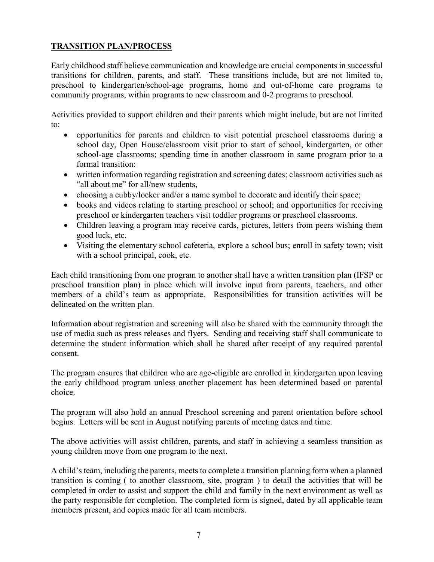# **TRANSITION PLAN/PROCESS**

Early childhood staff believe communication and knowledge are crucial components in successful transitions for children, parents, and staff. These transitions include, but are not limited to, preschool to kindergarten/school-age programs, home and out-of-home care programs to community programs, within programs to new classroom and 0-2 programs to preschool.

Activities provided to support children and their parents which might include, but are not limited to:

- opportunities for parents and children to visit potential preschool classrooms during a school day, Open House/classroom visit prior to start of school, kindergarten, or other school-age classrooms; spending time in another classroom in same program prior to a formal transition:
- written information regarding registration and screening dates; classroom activities such as "all about me" for all/new students,
- choosing a cubby/locker and/or a name symbol to decorate and identify their space;
- books and videos relating to starting preschool or school; and opportunities for receiving preschool or kindergarten teachers visit toddler programs or preschool classrooms.
- Children leaving a program may receive cards, pictures, letters from peers wishing them good luck, etc.
- Visiting the elementary school cafeteria, explore a school bus; enroll in safety town; visit with a school principal, cook, etc.

Each child transitioning from one program to another shall have a written transition plan (IFSP or preschool transition plan) in place which will involve input from parents, teachers, and other members of a child's team as appropriate. Responsibilities for transition activities will be delineated on the written plan.

Information about registration and screening will also be shared with the community through the use of media such as press releases and flyers. Sending and receiving staff shall communicate to determine the student information which shall be shared after receipt of any required parental consent.

The program ensures that children who are age-eligible are enrolled in kindergarten upon leaving the early childhood program unless another placement has been determined based on parental choice.

The program will also hold an annual Preschool screening and parent orientation before school begins. Letters will be sent in August notifying parents of meeting dates and time.

The above activities will assist children, parents, and staff in achieving a seamless transition as young children move from one program to the next.

A child's team, including the parents, meets to complete a transition planning form when a planned transition is coming ( to another classroom, site, program ) to detail the activities that will be completed in order to assist and support the child and family in the next environment as well as the party responsible for completion. The completed form is signed, dated by all applicable team members present, and copies made for all team members.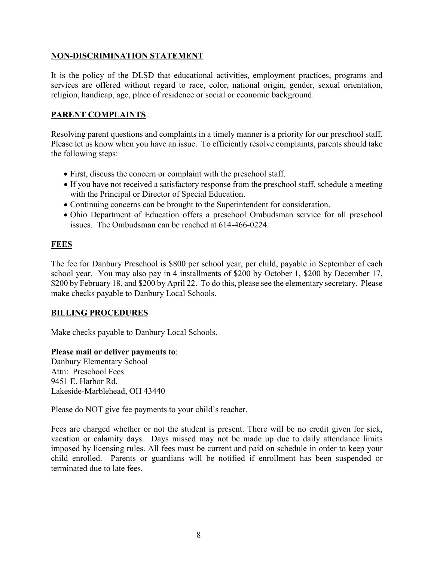#### **NON-DISCRIMINATION STATEMENT**

It is the policy of the DLSD that educational activities, employment practices, programs and services are offered without regard to race, color, national origin, gender, sexual orientation, religion, handicap, age, place of residence or social or economic background.

# **PARENT COMPLAINTS**

Resolving parent questions and complaints in a timely manner is a priority for our preschool staff. Please let us know when you have an issue. To efficiently resolve complaints, parents should take the following steps:

- First, discuss the concern or complaint with the preschool staff.
- If you have not received a satisfactory response from the preschool staff, schedule a meeting with the Principal or Director of Special Education.
- Continuing concerns can be brought to the Superintendent for consideration.
- Ohio Department of Education offers a preschool Ombudsman service for all preschool issues. The Ombudsman can be reached at 614-466-0224.

#### **FEES**

The fee for Danbury Preschool is \$800 per school year, per child, payable in September of each school year. You may also pay in 4 installments of \$200 by October 1, \$200 by December 17, \$200 by February 18, and \$200 by April 22. To do this, please see the elementary secretary. Please make checks payable to Danbury Local Schools.

# **BILLING PROCEDURES**

Make checks payable to Danbury Local Schools.

#### **Please mail or deliver payments to**:

Danbury Elementary School Attn: Preschool Fees 9451 E. Harbor Rd. Lakeside-Marblehead, OH 43440

Please do NOT give fee payments to your child's teacher.

Fees are charged whether or not the student is present. There will be no credit given for sick, vacation or calamity days. Days missed may not be made up due to daily attendance limits imposed by licensing rules. All fees must be current and paid on schedule in order to keep your child enrolled. Parents or guardians will be notified if enrollment has been suspended or terminated due to late fees.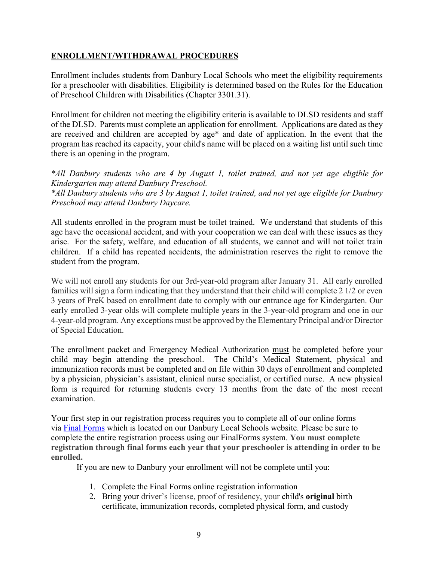# **ENROLLMENT/WITHDRAWAL PROCEDURES**

Enrollment includes students from Danbury Local Schools who meet the eligibility requirements for a preschooler with disabilities. Eligibility is determined based on the Rules for the Education of Preschool Children with Disabilities (Chapter 3301.31).

Enrollment for children not meeting the eligibility criteria is available to DLSD residents and staff of the DLSD. Parents must complete an application for enrollment. Applications are dated as they are received and children are accepted by age\* and date of application. In the event that the program has reached its capacity, your child's name will be placed on a waiting list until such time there is an opening in the program.

*\*All Danbury students who are 4 by August 1, toilet trained, and not yet age eligible for Kindergarten may attend Danbury Preschool. \*All Danbury students who are 3 by August 1, toilet trained, and not yet age eligible for Danbury Preschool may attend Danbury Daycare.*

All students enrolled in the program must be toilet trained. We understand that students of this age have the occasional accident, and with your cooperation we can deal with these issues as they arise. For the safety, welfare, and education of all students, we cannot and will not toilet train children. If a child has repeated accidents, the administration reserves the right to remove the student from the program.

We will not enroll any students for our 3rd-year-old program after January 31. All early enrolled families will sign a form indicating that they understand that their child will complete 2 1/2 or even 3 years of PreK based on enrollment date to comply with our entrance age for Kindergarten. Our early enrolled 3-year olds will complete multiple years in the 3-year-old program and one in our 4-year-old program. Any exceptions must be approved by the Elementary Principal and/or Director of Special Education.

The enrollment packet and Emergency Medical Authorization must be completed before your child may begin attending the preschool. The Child's Medical Statement, physical and immunization records must be completed and on file within 30 days of enrollment and completed by a physician, physician's assistant, clinical nurse specialist, or certified nurse. A new physical form is required for returning students every 13 months from the date of the most recent examination.

Your first step in our registration process requires you to complete all of our online forms via [Final Forms](https://www.google.com/url?q=https://www.danburyschools.org/FinalForms.aspx&sa=D&source=editors&ust=1652112319018532&usg=AOvVaw08gAGX1_fQO-1clkCYM17d) which is located on our Danbury Local Schools website. Please be sure to complete the entire registration process using our FinalForms system. **You must complete registration through final forms each year that your preschooler is attending in order to be enrolled.**

If you are new to Danbury your enrollment will not be complete until you:

- 1. Complete the Final Forms online registration information
- 2. Bring your driver's license, proof of residency, your child's **original** birth certificate, immunization records, completed physical form, and custody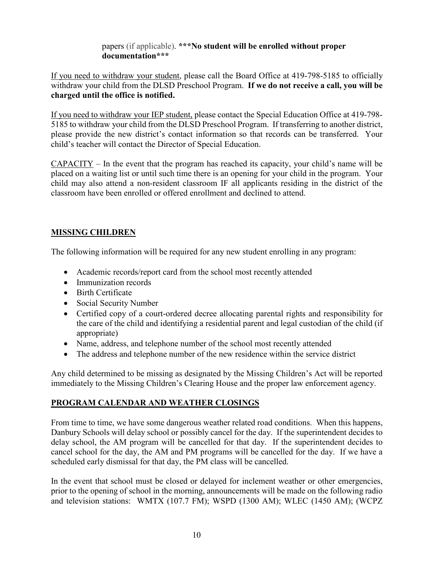papers (if applicable). **\*\*\*No student will be enrolled without proper documentation\*\*\*** 

If you need to withdraw your student, please call the Board Office at 419-798-5185 to officially withdraw your child from the DLSD Preschool Program. **If we do not receive a call, you will be charged until the office is notified.**

If you need to withdraw your IEP student, please contact the Special Education Office at 419-798- 5185 to withdraw your child from the DLSD Preschool Program. If transferring to another district, please provide the new district's contact information so that records can be transferred. Your child's teacher will contact the Director of Special Education.

 $CAPACITY - In the event that the program has reached its capacity, your child's name will be$ placed on a waiting list or until such time there is an opening for your child in the program. Your child may also attend a non-resident classroom IF all applicants residing in the district of the classroom have been enrolled or offered enrollment and declined to attend.

# **MISSING CHILDREN**

The following information will be required for any new student enrolling in any program:

- Academic records/report card from the school most recently attended
- Immunization records
- Birth Certificate
- Social Security Number
- Certified copy of a court-ordered decree allocating parental rights and responsibility for the care of the child and identifying a residential parent and legal custodian of the child (if appropriate)
- Name, address, and telephone number of the school most recently attended
- The address and telephone number of the new residence within the service district

Any child determined to be missing as designated by the Missing Children's Act will be reported immediately to the Missing Children's Clearing House and the proper law enforcement agency.

# **PROGRAM CALENDAR AND WEATHER CLOSINGS**

From time to time, we have some dangerous weather related road conditions. When this happens, Danbury Schools will delay school or possibly cancel for the day. If the superintendent decides to delay school, the AM program will be cancelled for that day. If the superintendent decides to cancel school for the day, the AM and PM programs will be cancelled for the day. If we have a scheduled early dismissal for that day, the PM class will be cancelled.

In the event that school must be closed or delayed for inclement weather or other emergencies, prior to the opening of school in the morning, announcements will be made on the following radio and television stations: WMTX (107.7 FM); WSPD (1300 AM); WLEC (1450 AM); (WCPZ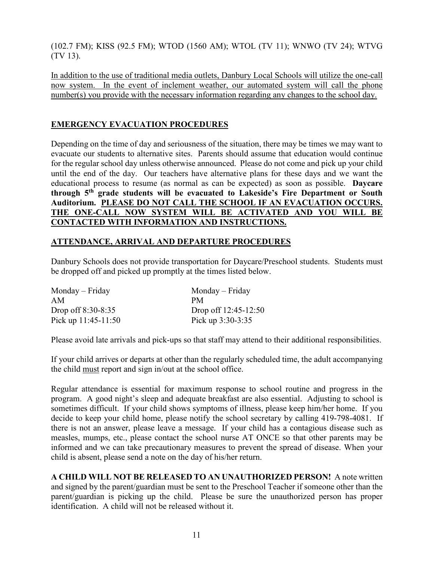(102.7 FM); KISS (92.5 FM); WTOD (1560 AM); WTOL (TV 11); WNWO (TV 24); WTVG (TV 13).

In addition to the use of traditional media outlets, Danbury Local Schools will utilize the one-call now system. In the event of inclement weather, our automated system will call the phone number(s) you provide with the necessary information regarding any changes to the school day.

# **EMERGENCY EVACUATION PROCEDURES**

Depending on the time of day and seriousness of the situation, there may be times we may want to evacuate our students to alternative sites. Parents should assume that education would continue for the regular school day unless otherwise announced. Please do not come and pick up your child until the end of the day. Our teachers have alternative plans for these days and we want the educational process to resume (as normal as can be expected) as soon as possible. **Daycare through 5th grade students will be evacuated to Lakeside's Fire Department or South Auditorium. PLEASE DO NOT CALL THE SCHOOL IF AN EVACUATION OCCURS. THE ONE-CALL NOW SYSTEM WILL BE ACTIVATED AND YOU WILL BE CONTACTED WITH INFORMATION AND INSTRUCTIONS.**

# **ATTENDANCE, ARRIVAL AND DEPARTURE PROCEDURES**

Danbury Schools does not provide transportation for Daycare/Preschool students. Students must be dropped off and picked up promptly at the times listed below.

| $Monday - Friday$     | Monday – Friday      |
|-----------------------|----------------------|
| AM                    | PМ                   |
| Drop off $8:30-8:35$  | Drop off 12:45-12:50 |
| Pick up $11:45-11:50$ | Pick up $3:30-3:35$  |

Please avoid late arrivals and pick-ups so that staff may attend to their additional responsibilities.

If your child arrives or departs at other than the regularly scheduled time, the adult accompanying the child must report and sign in/out at the school office.

Regular attendance is essential for maximum response to school routine and progress in the program. A good night's sleep and adequate breakfast are also essential. Adjusting to school is sometimes difficult. If your child shows symptoms of illness, please keep him/her home. If you decide to keep your child home, please notify the school secretary by calling 419-798-4081. If there is not an answer, please leave a message. If your child has a contagious disease such as measles, mumps, etc., please contact the school nurse AT ONCE so that other parents may be informed and we can take precautionary measures to prevent the spread of disease. When your child is absent, please send a note on the day of his/her return.

**A CHILD WILL NOT BE RELEASED TO AN UNAUTHORIZED PERSON!** A note written and signed by the parent/guardian must be sent to the Preschool Teacher if someone other than the parent/guardian is picking up the child. Please be sure the unauthorized person has proper identification. A child will not be released without it.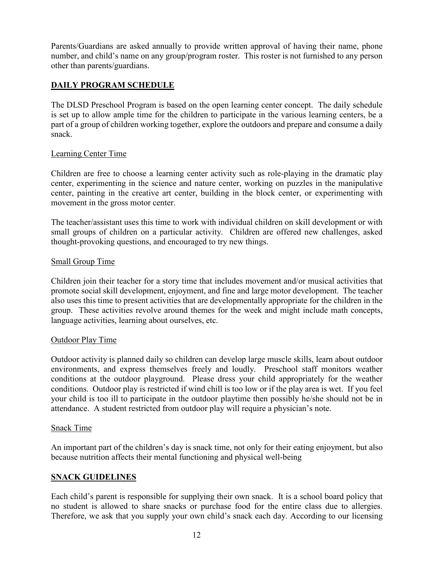Parents/Guardians are asked annually to provide written approval of having their name, phone number, and child's name on any group/program roster. This roster is not furnished to any person other than parents/guardians.

# **DAILY PROGRAM SCHEDULE**

The DLSD Preschool Program is based on the open learning center concept. The daily schedule is set up to allow ample time for the children to participate in the various learning centers, be a part of a group of children working together, explore the outdoors and prepare and consume a daily snack.

#### Learning Center Time

Children are free to choose a learning center activity such as role-playing in the dramatic play center, experimenting in the science and nature center, working on puzzles in the manipulative center, painting in the creative art center, building in the block center, or experimenting with movement in the gross motor center.

The teacher/assistant uses this time to work with individual children on skill development or with small groups of children on a particular activity. Children are offered new challenges, asked thought-provoking questions, and encouraged to try new things.

#### Small Group Time

Children join their teacher for a story time that includes movement and/or musical activities that promote social skill development, enjoyment, and fine and large motor development. The teacher also uses this time to present activities that are developmentally appropriate for the children in the group. These activities revolve around themes for the week and might include math concepts, language activities, learning about ourselves, etc.

#### Outdoor Play Time

Outdoor activity is planned daily so children can develop large muscle skills, learn about outdoor environments, and express themselves freely and loudly. Preschool staff monitors weather conditions at the outdoor playground. Please dress your child appropriately for the weather conditions. Outdoor play is restricted if wind chill is too low or if the play area is wet. If you feel your child is too ill to participate in the outdoor playtime then possibly he/she should not be in attendance. A student restricted from outdoor play will require a physician's note.

#### Snack Time

An important part of the children's day is snack time, not only for their eating enjoyment, but also because nutrition affects their mental functioning and physical well-being

# **SNACK GUIDELINES**

Each child's parent is responsible for supplying their own snack. It is a school board policy that no student is allowed to share snacks or purchase food for the entire class due to allergies. Therefore, we ask that you supply your own child's snack each day. According to our licensing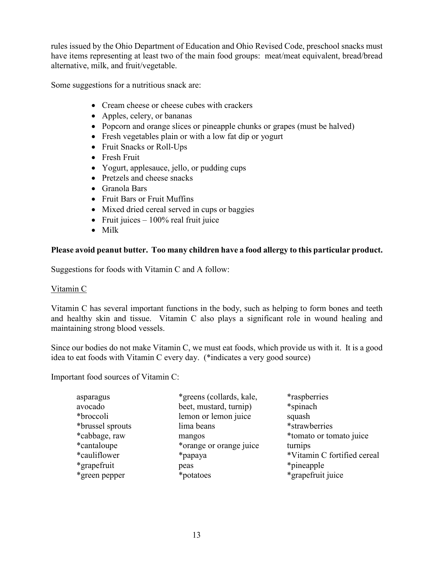rules issued by the Ohio Department of Education and Ohio Revised Code, preschool snacks must have items representing at least two of the main food groups: meat/meat equivalent, bread/bread alternative, milk, and fruit/vegetable.

Some suggestions for a nutritious snack are:

- Cream cheese or cheese cubes with crackers
- Apples, celery, or bananas
- Popcorn and orange slices or pineapple chunks or grapes (must be halved)
- Fresh vegetables plain or with a low fat dip or yogurt
- Fruit Snacks or Roll-Ups
- Fresh Fruit
- Yogurt, applesauce, jello, or pudding cups
- Pretzels and cheese snacks
- Granola Bars
- Fruit Bars or Fruit Muffins
- Mixed dried cereal served in cups or baggies
- Fruit juices  $-100\%$  real fruit juice
- Milk

# **Please avoid peanut butter. Too many children have a food allergy to this particular product.**

Suggestions for foods with Vitamin C and A follow:

# Vitamin C

Vitamin C has several important functions in the body, such as helping to form bones and teeth and healthy skin and tissue. Vitamin C also plays a significant role in wound healing and maintaining strong blood vessels.

Since our bodies do not make Vitamin C, we must eat foods, which provide us with it. It is a good idea to eat foods with Vitamin C every day. (\*indicates a very good source)

Important food sources of Vitamin C:

| asparagus        | *greens (collards, kale, | <i>*raspberries</i>         |
|------------------|--------------------------|-----------------------------|
| avocado          | beet, mustard, turnip)   | *spinach                    |
| *broccoli        | lemon or lemon juice     | squash                      |
| *brussel sprouts | lima beans               | *strawberries               |
| *cabbage, raw    | mangos                   | *tomato or tomato juice     |
| *cantaloupe      | *orange or orange juice  | turnips                     |
| *cauliflower     | *papaya                  | *Vitamin C fortified cereal |
| *grapefruit      | peas                     | *pineapple                  |
| *green pepper    | *potatoes                | *grapefruit juice           |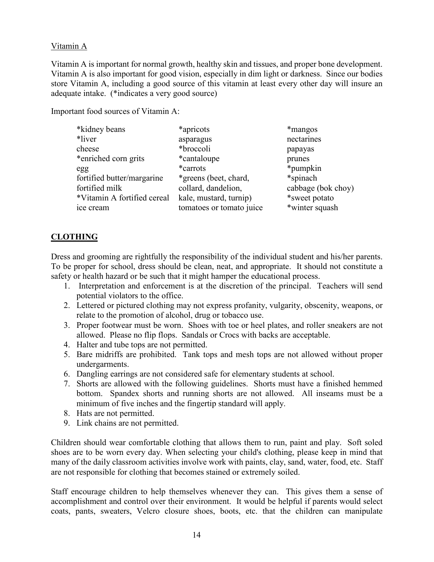# Vitamin A

Vitamin A is important for normal growth, healthy skin and tissues, and proper bone development. Vitamin A is also important for good vision, especially in dim light or darkness. Since our bodies store Vitamin A, including a good source of this vitamin at least every other day will insure an adequate intake. (\*indicates a very good source)

Important food sources of Vitamin A:

| *kidney beans               | *apricots                | *mangos            |
|-----------------------------|--------------------------|--------------------|
| *liver                      | asparagus                | nectarines         |
| cheese                      | *broccoli                | papayas            |
| *enriched corn grits        | *cantaloupe              | prunes             |
| egg                         | *carrots                 | *pumpkin           |
| fortified butter/margarine  | *greens (beet, chard,    | *spinach           |
| fortified milk              | collard, dandelion,      | cabbage (bok choy) |
| *Vitamin A fortified cereal | kale, mustard, turnip)   | *sweet potato      |
| ice cream                   | tomatoes or tomato juice | *winter squash     |
|                             |                          |                    |

# **CLOTHING**

Dress and grooming are rightfully the responsibility of the individual student and his/her parents. To be proper for school, dress should be clean, neat, and appropriate. It should not constitute a safety or health hazard or be such that it might hamper the educational process.

- 1. Interpretation and enforcement is at the discretion of the principal. Teachers will send potential violators to the office.
- 2. Lettered or pictured clothing may not express profanity, vulgarity, obscenity, weapons, or relate to the promotion of alcohol, drug or tobacco use.
- 3. Proper footwear must be worn. Shoes with toe or heel plates, and roller sneakers are not allowed. Please no flip flops. Sandals or Crocs with backs are acceptable.
- 4. Halter and tube tops are not permitted.
- 5. Bare midriffs are prohibited. Tank tops and mesh tops are not allowed without proper undergarments.
- 6. Dangling earrings are not considered safe for elementary students at school.
- 7. Shorts are allowed with the following guidelines. Shorts must have a finished hemmed bottom. Spandex shorts and running shorts are not allowed. All inseams must be a minimum of five inches and the fingertip standard will apply.
- 8. Hats are not permitted.
- 9. Link chains are not permitted.

Children should wear comfortable clothing that allows them to run, paint and play. Soft soled shoes are to be worn every day. When selecting your child's clothing, please keep in mind that many of the daily classroom activities involve work with paints, clay, sand, water, food, etc. Staff are not responsible for clothing that becomes stained or extremely soiled.

Staff encourage children to help themselves whenever they can. This gives them a sense of accomplishment and control over their environment. It would be helpful if parents would select coats, pants, sweaters, Velcro closure shoes, boots, etc. that the children can manipulate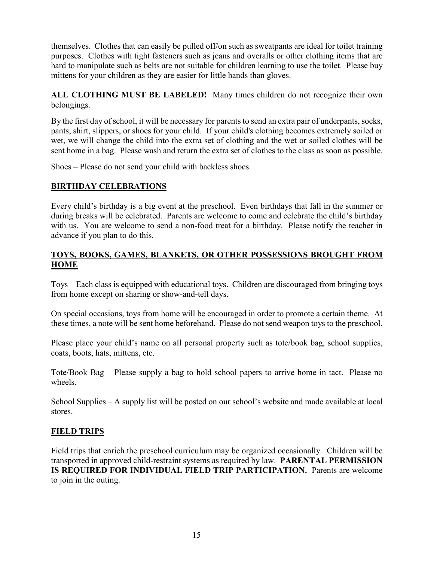themselves. Clothes that can easily be pulled off/on such as sweatpants are ideal for toilet training purposes. Clothes with tight fasteners such as jeans and overalls or other clothing items that are hard to manipulate such as belts are not suitable for children learning to use the toilet. Please buy mittens for your children as they are easier for little hands than gloves.

**ALL CLOTHING MUST BE LABELED!** Many times children do not recognize their own belongings.

By the first day of school, it will be necessary for parents to send an extra pair of underpants, socks, pants, shirt, slippers, or shoes for your child. If your child's clothing becomes extremely soiled or wet, we will change the child into the extra set of clothing and the wet or soiled clothes will be sent home in a bag. Please wash and return the extra set of clothes to the class as soon as possible.

Shoes – Please do not send your child with backless shoes.

# **BIRTHDAY CELEBRATIONS**

Every child's birthday is a big event at the preschool. Even birthdays that fall in the summer or during breaks will be celebrated. Parents are welcome to come and celebrate the child's birthday with us. You are welcome to send a non-food treat for a birthday. Please notify the teacher in advance if you plan to do this.

# **TOYS, BOOKS, GAMES, BLANKETS, OR OTHER POSSESSIONS BROUGHT FROM HOME**

Toys – Each class is equipped with educational toys. Children are discouraged from bringing toys from home except on sharing or show-and-tell days.

On special occasions, toys from home will be encouraged in order to promote a certain theme. At these times, a note will be sent home beforehand. Please do not send weapon toys to the preschool.

Please place your child's name on all personal property such as tote/book bag, school supplies, coats, boots, hats, mittens, etc.

Tote/Book Bag – Please supply a bag to hold school papers to arrive home in tact. Please no wheels.

School Supplies – A supply list will be posted on our school's website and made available at local stores.

# **FIELD TRIPS**

Field trips that enrich the preschool curriculum may be organized occasionally. Children will be transported in approved child-restraint systems as required by law. **PARENTAL PERMISSION IS REQUIRED FOR INDIVIDUAL FIELD TRIP PARTICIPATION.** Parents are welcome to join in the outing.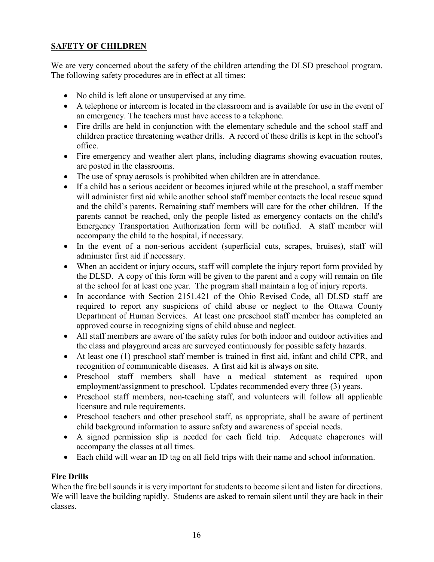# **SAFETY OF CHILDREN**

We are very concerned about the safety of the children attending the DLSD preschool program. The following safety procedures are in effect at all times:

- No child is left alone or unsupervised at any time.
- A telephone or intercom is located in the classroom and is available for use in the event of an emergency. The teachers must have access to a telephone.
- Fire drills are held in conjunction with the elementary schedule and the school staff and children practice threatening weather drills. A record of these drills is kept in the school's office.
- Fire emergency and weather alert plans, including diagrams showing evacuation routes, are posted in the classrooms.
- The use of spray aerosols is prohibited when children are in attendance.
- If a child has a serious accident or becomes injured while at the preschool, a staff member will administer first aid while another school staff member contacts the local rescue squad and the child's parents. Remaining staff members will care for the other children. If the parents cannot be reached, only the people listed as emergency contacts on the child's Emergency Transportation Authorization form will be notified. A staff member will accompany the child to the hospital, if necessary.
- In the event of a non-serious accident (superficial cuts, scrapes, bruises), staff will administer first aid if necessary.
- When an accident or injury occurs, staff will complete the injury report form provided by the DLSD. A copy of this form will be given to the parent and a copy will remain on file at the school for at least one year. The program shall maintain a log of injury reports.
- In accordance with Section 2151.421 of the Ohio Revised Code, all DLSD staff are required to report any suspicions of child abuse or neglect to the Ottawa County Department of Human Services. At least one preschool staff member has completed an approved course in recognizing signs of child abuse and neglect.
- All staff members are aware of the safety rules for both indoor and outdoor activities and the class and playground areas are surveyed continuously for possible safety hazards.
- At least one (1) preschool staff member is trained in first aid, infant and child CPR, and recognition of communicable diseases. A first aid kit is always on site.
- Preschool staff members shall have a medical statement as required upon employment/assignment to preschool. Updates recommended every three (3) years.
- Preschool staff members, non-teaching staff, and volunteers will follow all applicable licensure and rule requirements.
- Preschool teachers and other preschool staff, as appropriate, shall be aware of pertinent child background information to assure safety and awareness of special needs.
- A signed permission slip is needed for each field trip. Adequate chaperones will accompany the classes at all times.
- Each child will wear an ID tag on all field trips with their name and school information.

# **Fire Drills**

When the fire bell sounds it is very important for students to become silent and listen for directions. We will leave the building rapidly. Students are asked to remain silent until they are back in their classes.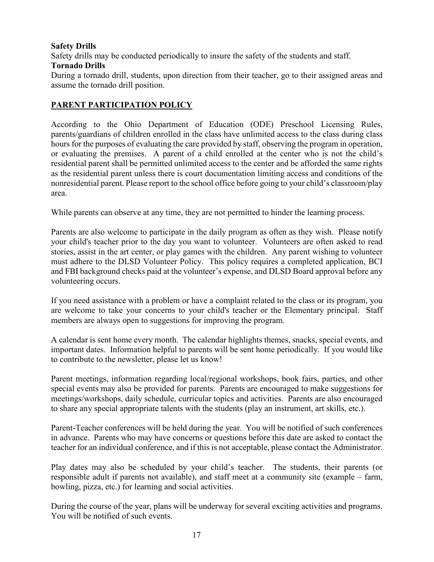#### **Safety Drills**

Safety drills may be conducted periodically to insure the safety of the students and staff.

#### **Tornado Drills**

During a tornado drill, students, upon direction from their teacher, go to their assigned areas and assume the tornado drill position.

# **PARENT PARTICIPATION POLICY**

According to the Ohio Department of Education (ODE) Preschool Licensing Rules, parents/guardians of children enrolled in the class have unlimited access to the class during class hours for the purposes of evaluating the care provided by staff, observing the program in operation, or evaluating the premises. A parent of a child enrolled at the center who is not the child's residential parent shall be permitted unlimited access to the center and be afforded the same rights as the residential parent unless there is court documentation limiting access and conditions of the nonresidential parent. Please report to the school office before going to your child's classroom/play area.

While parents can observe at any time, they are not permitted to hinder the learning process.

Parents are also welcome to participate in the daily program as often as they wish. Please notify your child's teacher prior to the day you want to volunteer. Volunteers are often asked to read stories, assist in the art center, or play games with the children. Any parent wishing to volunteer must adhere to the DLSD Volunteer Policy. This policy requires a completed application, BCI and FBI background checks paid at the volunteer's expense, and DLSD Board approval before any volunteering occurs.

If you need assistance with a problem or have a complaint related to the class or its program, you are welcome to take your concerns to your child's teacher or the Elementary principal. Staff members are always open to suggestions for improving the program.

A calendar is sent home every month. The calendar highlights themes, snacks, special events, and important dates. Information helpful to parents will be sent home periodically. If you would like to contribute to the newsletter, please let us know!

Parent meetings, information regarding local/regional workshops, book fairs, parties, and other special events may also be provided for parents. Parents are encouraged to make suggestions for meetings/workshops, daily schedule, curricular topics and activities. Parents are also encouraged to share any special appropriate talents with the students (play an instrument, art skills, etc.).

Parent-Teacher conferences will be held during the year. You will be notified of such conferences in advance. Parents who may have concerns or questions before this date are asked to contact the teacher for an individual conference, and if this is not acceptable, please contact the Administrator.

Play dates may also be scheduled by your child's teacher. The students, their parents (or responsible adult if parents not available), and staff meet at a community site (example – farm, bowling, pizza, etc.) for learning and social activities.

During the course of the year, plans will be underway for several exciting activities and programs. You will be notified of such events.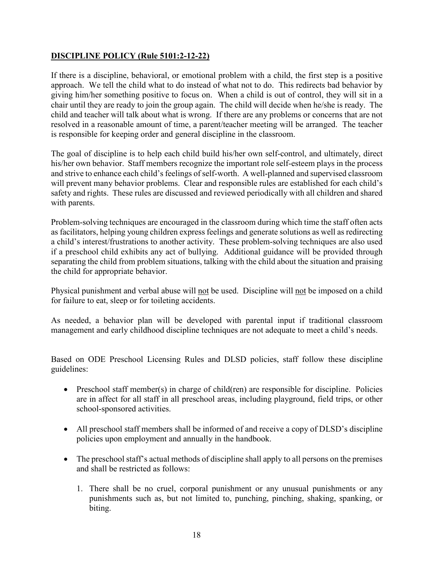# **DISCIPLINE POLICY (Rule 5101:2-12-22)**

If there is a discipline, behavioral, or emotional problem with a child, the first step is a positive approach. We tell the child what to do instead of what not to do. This redirects bad behavior by giving him/her something positive to focus on. When a child is out of control, they will sit in a chair until they are ready to join the group again. The child will decide when he/she is ready. The child and teacher will talk about what is wrong. If there are any problems or concerns that are not resolved in a reasonable amount of time, a parent/teacher meeting will be arranged. The teacher is responsible for keeping order and general discipline in the classroom.

The goal of discipline is to help each child build his/her own self-control, and ultimately, direct his/her own behavior. Staff members recognize the important role self-esteem plays in the process and strive to enhance each child's feelings of self-worth. A well-planned and supervised classroom will prevent many behavior problems. Clear and responsible rules are established for each child's safety and rights. These rules are discussed and reviewed periodically with all children and shared with parents.

Problem-solving techniques are encouraged in the classroom during which time the staff often acts as facilitators, helping young children express feelings and generate solutions as well as redirecting a child's interest/frustrations to another activity. These problem-solving techniques are also used if a preschool child exhibits any act of bullying. Additional guidance will be provided through separating the child from problem situations, talking with the child about the situation and praising the child for appropriate behavior.

Physical punishment and verbal abuse will not be used. Discipline will not be imposed on a child for failure to eat, sleep or for toileting accidents.

As needed, a behavior plan will be developed with parental input if traditional classroom management and early childhood discipline techniques are not adequate to meet a child's needs.

Based on ODE Preschool Licensing Rules and DLSD policies, staff follow these discipline guidelines:

- Preschool staff member(s) in charge of child(ren) are responsible for discipline. Policies are in affect for all staff in all preschool areas, including playground, field trips, or other school-sponsored activities.
- All preschool staff members shall be informed of and receive a copy of DLSD's discipline policies upon employment and annually in the handbook.
- The preschool staff's actual methods of discipline shall apply to all persons on the premises and shall be restricted as follows:
	- 1. There shall be no cruel, corporal punishment or any unusual punishments or any punishments such as, but not limited to, punching, pinching, shaking, spanking, or biting.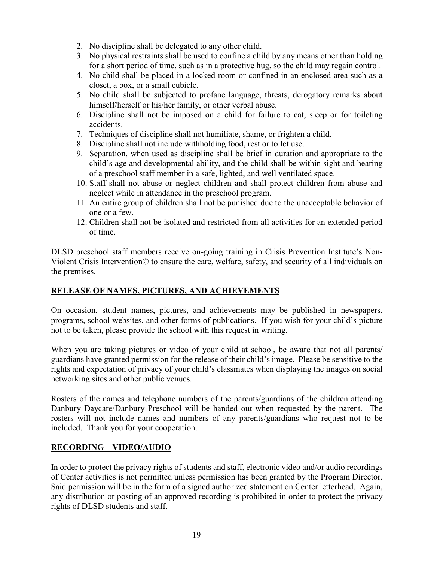- 2. No discipline shall be delegated to any other child.
- 3. No physical restraints shall be used to confine a child by any means other than holding for a short period of time, such as in a protective hug, so the child may regain control.
- 4. No child shall be placed in a locked room or confined in an enclosed area such as a closet, a box, or a small cubicle.
- 5. No child shall be subjected to profane language, threats, derogatory remarks about himself/herself or his/her family, or other verbal abuse.
- 6. Discipline shall not be imposed on a child for failure to eat, sleep or for toileting accidents.
- 7. Techniques of discipline shall not humiliate, shame, or frighten a child.
- 8. Discipline shall not include withholding food, rest or toilet use.
- 9. Separation, when used as discipline shall be brief in duration and appropriate to the child's age and developmental ability, and the child shall be within sight and hearing of a preschool staff member in a safe, lighted, and well ventilated space.
- 10. Staff shall not abuse or neglect children and shall protect children from abuse and neglect while in attendance in the preschool program.
- 11. An entire group of children shall not be punished due to the unacceptable behavior of one or a few.
- 12. Children shall not be isolated and restricted from all activities for an extended period of time.

DLSD preschool staff members receive on-going training in Crisis Prevention Institute's Non-Violent Crisis Intervention© to ensure the care, welfare, safety, and security of all individuals on the premises.

# **RELEASE OF NAMES, PICTURES, AND ACHIEVEMENTS**

On occasion, student names, pictures, and achievements may be published in newspapers, programs, school websites, and other forms of publications. If you wish for your child's picture not to be taken, please provide the school with this request in writing.

When you are taking pictures or video of your child at school, be aware that not all parents/ guardians have granted permission for the release of their child's image. Please be sensitive to the rights and expectation of privacy of your child's classmates when displaying the images on social networking sites and other public venues.

Rosters of the names and telephone numbers of the parents/guardians of the children attending Danbury Daycare/Danbury Preschool will be handed out when requested by the parent. The rosters will not include names and numbers of any parents/guardians who request not to be included. Thank you for your cooperation.

# **RECORDING – VIDEO/AUDIO**

In order to protect the privacy rights of students and staff, electronic video and/or audio recordings of Center activities is not permitted unless permission has been granted by the Program Director. Said permission will be in the form of a signed authorized statement on Center letterhead. Again, any distribution or posting of an approved recording is prohibited in order to protect the privacy rights of DLSD students and staff.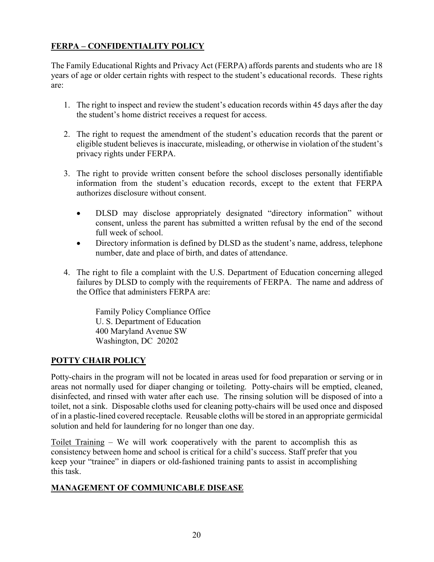# **FERPA – CONFIDENTIALITY POLICY**

The Family Educational Rights and Privacy Act (FERPA) affords parents and students who are 18 years of age or older certain rights with respect to the student's educational records. These rights are:

- 1. The right to inspect and review the student's education records within 45 days after the day the student's home district receives a request for access.
- 2. The right to request the amendment of the student's education records that the parent or eligible student believes is inaccurate, misleading, or otherwise in violation of the student's privacy rights under FERPA.
- 3. The right to provide written consent before the school discloses personally identifiable information from the student's education records, except to the extent that FERPA authorizes disclosure without consent.
	- DLSD may disclose appropriately designated "directory information" without consent, unless the parent has submitted a written refusal by the end of the second full week of school.
	- Directory information is defined by DLSD as the student's name, address, telephone number, date and place of birth, and dates of attendance.
- 4. The right to file a complaint with the U.S. Department of Education concerning alleged failures by DLSD to comply with the requirements of FERPA. The name and address of the Office that administers FERPA are:

 Family Policy Compliance Office U. S. Department of Education 400 Maryland Avenue SW Washington, DC 20202

# **POTTY CHAIR POLICY**

Potty-chairs in the program will not be located in areas used for food preparation or serving or in areas not normally used for diaper changing or toileting. Potty-chairs will be emptied, cleaned, disinfected, and rinsed with water after each use. The rinsing solution will be disposed of into a toilet, not a sink. Disposable cloths used for cleaning potty-chairs will be used once and disposed of in a plastic-lined covered receptacle. Reusable cloths will be stored in an appropriate germicidal solution and held for laundering for no longer than one day.

Toilet Training – We will work cooperatively with the parent to accomplish this as consistency between home and school is critical for a child's success. Staff prefer that you keep your "trainee" in diapers or old-fashioned training pants to assist in accomplishing this task.

# **MANAGEMENT OF COMMUNICABLE DISEASE**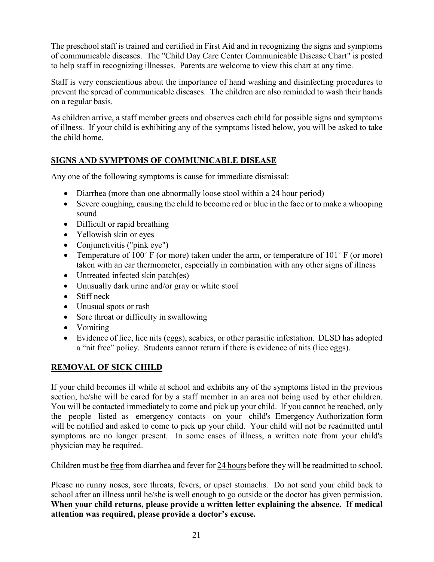The preschool staff is trained and certified in First Aid and in recognizing the signs and symptoms of communicable diseases. The "Child Day Care Center Communicable Disease Chart" is posted to help staff in recognizing illnesses. Parents are welcome to view this chart at any time.

Staff is very conscientious about the importance of hand washing and disinfecting procedures to prevent the spread of communicable diseases. The children are also reminded to wash their hands on a regular basis.

As children arrive, a staff member greets and observes each child for possible signs and symptoms of illness. If your child is exhibiting any of the symptoms listed below, you will be asked to take the child home.

# **SIGNS AND SYMPTOMS OF COMMUNICABLE DISEASE**

Any one of the following symptoms is cause for immediate dismissal:

- Diarrhea (more than one abnormally loose stool within a 24 hour period)
- Severe coughing, causing the child to become red or blue in the face or to make a whooping sound
- Difficult or rapid breathing
- Yellowish skin or eyes
- Conjunctivitis ("pink eye")
- Temperature of 100° F (or more) taken under the arm, or temperature of 101° F (or more) taken with an ear thermometer, especially in combination with any other signs of illness
- Untreated infected skin patch(es)
- Unusually dark urine and/or gray or white stool
- Stiff neck
- Unusual spots or rash
- Sore throat or difficulty in swallowing
- Vomiting
- Evidence of lice, lice nits (eggs), scabies, or other parasitic infestation. DLSD has adopted a "nit free" policy. Students cannot return if there is evidence of nits (lice eggs).

# **REMOVAL OF SICK CHILD**

If your child becomes ill while at school and exhibits any of the symptoms listed in the previous section, he/she will be cared for by a staff member in an area not being used by other children. You will be contacted immediately to come and pick up your child. If you cannot be reached, only the people listed as emergency contacts on your child's Emergency Authorization form will be notified and asked to come to pick up your child. Your child will not be readmitted until symptoms are no longer present. In some cases of illness, a written note from your child's physician may be required.

Children must be free from diarrhea and fever for 24 hours before they will be readmitted to school.

Please no runny noses, sore throats, fevers, or upset stomachs. Do not send your child back to school after an illness until he/she is well enough to go outside or the doctor has given permission. **When your child returns, please provide a written letter explaining the absence. If medical attention was required, please provide a doctor's excuse.**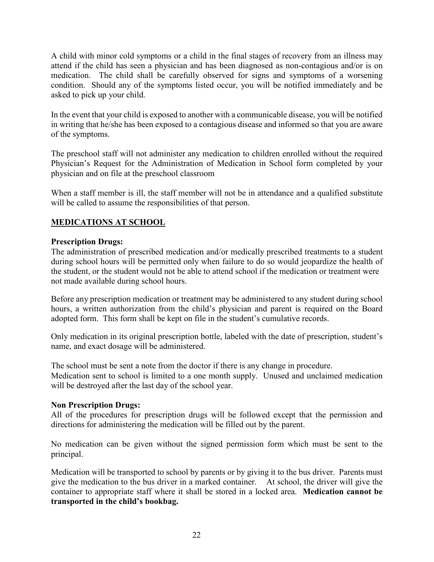A child with minor cold symptoms or a child in the final stages of recovery from an illness may attend if the child has seen a physician and has been diagnosed as non-contagious and/or is on medication. The child shall be carefully observed for signs and symptoms of a worsening condition. Should any of the symptoms listed occur, you will be notified immediately and be asked to pick up your child.

In the event that your child is exposed to another with a communicable disease, you will be notified in writing that he/she has been exposed to a contagious disease and informed so that you are aware of the symptoms.

The preschool staff will not administer any medication to children enrolled without the required Physician's Request for the Administration of Medication in School form completed by your physician and on file at the preschool classroom

When a staff member is ill, the staff member will not be in attendance and a qualified substitute will be called to assume the responsibilities of that person.

# **MEDICATIONS AT SCHOOL**

# **Prescription Drugs:**

The administration of prescribed medication and/or medically prescribed treatments to a student during school hours will be permitted only when failure to do so would jeopardize the health of the student, or the student would not be able to attend school if the medication or treatment were not made available during school hours.

Before any prescription medication or treatment may be administered to any student during school hours, a written authorization from the child's physician and parent is required on the Board adopted form. This form shall be kept on file in the student's cumulative records.

Only medication in its original prescription bottle, labeled with the date of prescription, student's name, and exact dosage will be administered.

The school must be sent a note from the doctor if there is any change in procedure. Medication sent to school is limited to a one month supply. Unused and unclaimed medication will be destroyed after the last day of the school year.

# **Non Prescription Drugs:**

All of the procedures for prescription drugs will be followed except that the permission and directions for administering the medication will be filled out by the parent.

No medication can be given without the signed permission form which must be sent to the principal.

Medication will be transported to school by parents or by giving it to the bus driver. Parents must give the medication to the bus driver in a marked container. At school, the driver will give the container to appropriate staff where it shall be stored in a locked area. **Medication cannot be transported in the child's bookbag.**